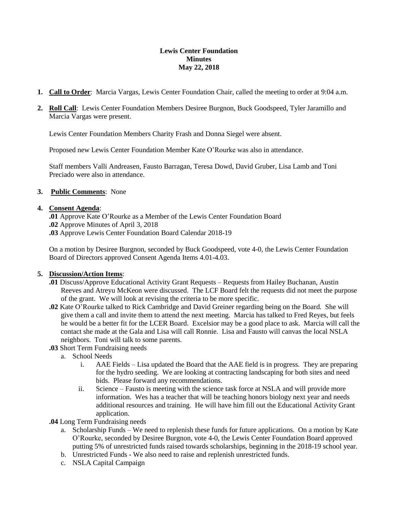### **Lewis Center Foundation Minutes May 22, 2018**

- **1. Call to Order**: Marcia Vargas, Lewis Center Foundation Chair, called the meeting to order at 9:04 a.m.
- **2. Roll Call**: Lewis Center Foundation Members Desiree Burgnon, Buck Goodspeed, Tyler Jaramillo and Marcia Vargas were present.

Lewis Center Foundation Members Charity Frash and Donna Siegel were absent.

Proposed new Lewis Center Foundation Member Kate O'Rourke was also in attendance.

Staff members Valli Andreasen, Fausto Barragan, Teresa Dowd, David Gruber, Lisa Lamb and Toni Preciado were also in attendance.

## **3. Public Comments**: None

### **4. Consent Agenda**:

**.01** Approve Kate O'Rourke as a Member of the Lewis Center Foundation Board **.02** Approve Minutes of April 3, 2018 **.03** Approve Lewis Center Foundation Board Calendar 2018-19

On a motion by Desiree Burgnon, seconded by Buck Goodspeed, vote 4-0, the Lewis Center Foundation Board of Directors approved Consent Agenda Items 4.01-4.03.

### **5. Discussion/Action Items**:

- **.01** Discuss/Approve Educational Activity Grant Requests Requests from Hailey Buchanan, Austin Reeves and Atreyu McKeon were discussed. The LCF Board felt the requests did not meet the purpose of the grant. We will look at revising the criteria to be more specific.
- **.02** Kate O'Rourke talked to Rick Cambridge and David Greiner regarding being on the Board. She will give them a call and invite them to attend the next meeting. Marcia has talked to Fred Reyes, but feels he would be a better fit for the LCER Board. Excelsior may be a good place to ask. Marcia will call the contact she made at the Gala and Lisa will call Ronnie. Lisa and Fausto will canvas the local NSLA neighbors. Toni will talk to some parents.
- **.03** Short Term Fundraising needs
	- a. School Needs
		- i. AAE Fields Lisa updated the Board that the AAE field is in progress. They are preparing for the hydro seeding. We are looking at contracting landscaping for both sites and need bids. Please forward any recommendations.
		- ii. Science Fausto is meeting with the science task force at NSLA and will provide more information. Wes has a teacher that will be teaching honors biology next year and needs additional resources and training. He will have him fill out the Educational Activity Grant application.
- **.04** Long Term Fundraising needs
	- a. Scholarship Funds We need to replenish these funds for future applications. On a motion by Kate O'Rourke, seconded by Desiree Burgnon, vote 4-0, the Lewis Center Foundation Board approved putting 5% of unrestricted funds raised towards scholarships, beginning in the 2018-19 school year.
	- b. Unrestricted Funds We also need to raise and replenish unrestricted funds.
	- c. NSLA Capital Campaign